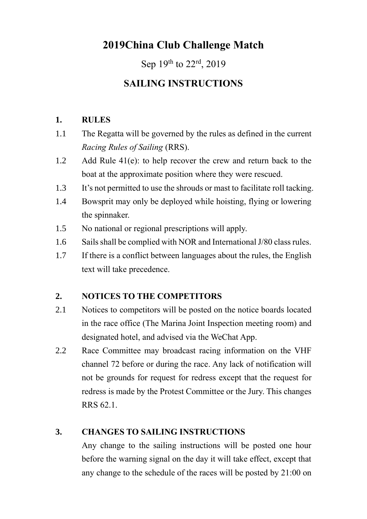# **2019China Club Challenge Match**

# Sep 19<sup>th</sup> to 22<sup>rd</sup>, 2019

# **SAILING INSTRUCTIONS**

### **1. RULES**

- 1.1 The Regatta will be governed by the rules as defined in the current *Racing Rules of Sailing* (RRS).
- 1.2 Add Rule 41(e): to help recover the crew and return back to the boat at the approximate position where they were rescued.
- 1.3 It's not permitted to use the shrouds or mast to facilitate roll tacking.
- 1.4 Bowsprit may only be deployed while hoisting, flying or lowering the spinnaker.
- 1.5 No national or regional prescriptions will apply.
- 1.6 Sails shall be complied with NOR and International J/80 class rules.
- 1.7 If there is a conflict between languages about the rules, the English text will take precedence.

## **2. NOTICES TO THE COMPETITORS**

- 2.1 Notices to competitors will be posted on the notice boards located in the race office (The Marina Joint Inspection meeting room) and designated hotel, and advised via the WeChat App.
- 2.2 Race Committee may broadcast racing information on the VHF channel 72 before or during the race. Any lack of notification will not be grounds for request for redress except that the request for redress is made by the Protest Committee or the Jury. This changes RRS 62.1.

## **3. CHANGES TO SAILING INSTRUCTIONS**

Any change to the sailing instructions will be posted one hour before the warning signal on the day it will take effect, except that any change to the schedule of the races will be posted by 21:00 on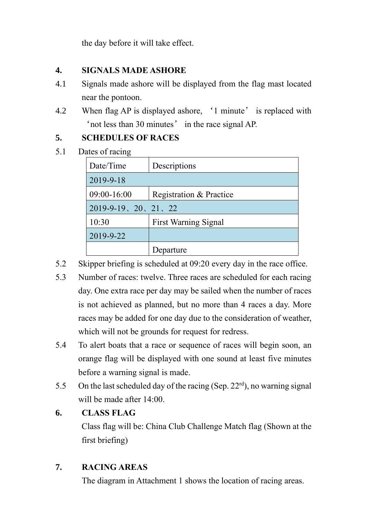the day before it will take effect.

## **4. SIGNALS MADE ASHORE**

- 4.1 Signals made ashore will be displayed from the flag mast located near the pontoon.
- 4.2 When flag AP is displayed ashore, '1 minute' is replaced with 'not less than 30 minutes' in the race signal AP.

## **5. SCHEDULES OF RACES**

5.1 Dates of racing

| Date/Time                        | Descriptions                |  |  |  |
|----------------------------------|-----------------------------|--|--|--|
| 2019-9-18                        |                             |  |  |  |
| $09:00 - 16:00$                  | Registration & Practice     |  |  |  |
| $2019-9-19$ , $20$ , $21$ , $22$ |                             |  |  |  |
| 10:30                            | <b>First Warning Signal</b> |  |  |  |
| 2019-9-22                        |                             |  |  |  |
|                                  | Departure                   |  |  |  |

- 5.2 Skipper briefing is scheduled at 09:20 every day in the race office.
- 5.3 Number of races: twelve. Three races are scheduled for each racing day. One extra race per day may be sailed when the number of races is not achieved as planned, but no more than 4 races a day. More races may be added for one day due to the consideration of weather, which will not be grounds for request for redress.
- 5.4 To alert boats that a race or sequence of races will begin soon, an orange flag will be displayed with one sound at least five minutes before a warning signal is made.
- 5.5 On the last scheduled day of the racing (Sep.  $22^{\text{rd}}$ ), no warning signal will be made after  $14:00$ .

## **6. CLASS FLAG**

Class flag will be: China Club Challenge Match flag (Shown at the first briefing)

## **7. RACING AREAS**

The diagram in Attachment 1 shows the location of racing areas.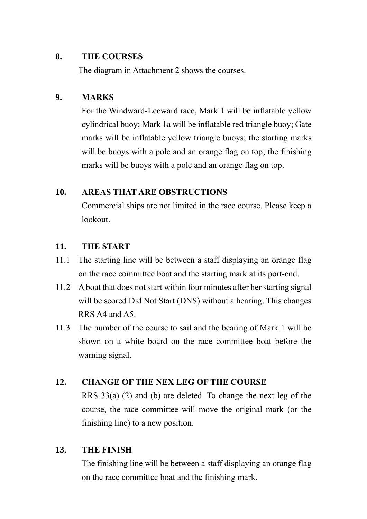#### **8. THE COURSES**

The diagram in Attachment 2 shows the courses.

### **9. MARKS**

For the Windward-Leeward race, Mark 1 will be inflatable yellow cylindrical buoy; Mark 1a will be inflatable red triangle buoy; Gate marks will be inflatable yellow triangle buoys; the starting marks will be buoys with a pole and an orange flag on top; the finishing marks will be buoys with a pole and an orange flag on top.

### **10. AREAS THAT ARE OBSTRUCTIONS**

Commercial ships are not limited in the race course. Please keep a lookout.

### **11. THE START**

- 11.1 The starting line will be between a staff displaying an orange flag on the race committee boat and the starting mark at its port-end.
- 11.2 A boat that does not start within four minutes after her starting signal will be scored Did Not Start (DNS) without a hearing. This changes RRS A4 and A5.
- 11.3 The number of the course to sail and the bearing of Mark 1 will be shown on a white board on the race committee boat before the warning signal.

## **12. CHANGE OF THE NEX LEG OF THE COURSE**

RRS 33(a) (2) and (b) are deleted. To change the next leg of the course, the race committee will move the original mark (or the finishing line) to a new position.

## **13. THE FINISH**

The finishing line will be between a staff displaying an orange flag on the race committee boat and the finishing mark.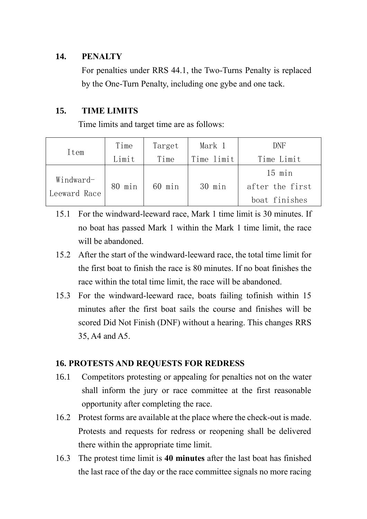#### **14. PENALTY**

For penalties under RRS 44.1, the Two-Turns Penalty is replaced by the One-Turn Penalty, including one gybe and one tack.

### **15. TIME LIMITS**

Time limits and target time are as follows:

| Item                      | Time   | Target | Mark 1     | DNF                         |
|---------------------------|--------|--------|------------|-----------------------------|
|                           | Limit  | Time   | Time limit | Time Limit                  |
| Windward-<br>Leeward Race | 80 min | 60 min | 30 min     | $15$ min<br>after the first |
|                           |        |        |            | boat finishes               |

15.1 For the windward-leeward race, Mark 1 time limit is 30 minutes. If no boat has passed Mark 1 within the Mark 1 time limit, the race will be abandoned.

- 15.2 After the start of the windward-leeward race, the total time limit for the first boat to finish the race is 80 minutes. If no boat finishes the race within the total time limit, the race will be abandoned.
- 15.3 For the windward-leeward race, boats failing tofinish within 15 minutes after the first boat sails the course and finishes will be scored Did Not Finish (DNF) without a hearing. This changes RRS 35, A4 and A5.

### **16. PROTESTS AND REQUESTS FOR REDRESS**

- 16.1 Competitors protesting or appealing for penalties not on the water shall inform the jury or race committee at the first reasonable opportunity after completing the race.
- 16.2 Protest forms are available at the place where the check-out is made. Protests and requests for redress or reopening shall be delivered there within the appropriate time limit.
- 16.3 The protest time limit is **40 minutes** after the last boat has finished the last race of the day or the race committee signals no more racing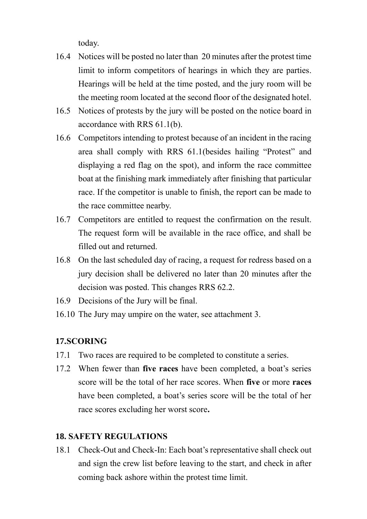today.

- 16.4 Notices will be posted no later than 20 minutes after the protest time limit to inform competitors of hearings in which they are parties. Hearings will be held at the time posted, and the jury room will be the meeting room located at the second floor of the designated hotel.
- 16.5 Notices of protests by the jury will be posted on the notice board in accordance with RRS 61.1(b).
- 16.6 Competitors intending to protest because of an incident in the racing area shall comply with RRS 61.1(besides hailing "Protest" and displaying a red flag on the spot), and inform the race committee boat at the finishing mark immediately after finishing that particular race. If the competitor is unable to finish, the report can be made to the race committee nearby.
- 16.7 Competitors are entitled to request the confirmation on the result. The request form will be available in the race office, and shall be filled out and returned.
- 16.8 On the last scheduled day of racing, a request for redress based on a jury decision shall be delivered no later than 20 minutes after the decision was posted. This changes RRS 62.2.
- 16.9 Decisions of the Jury will be final.
- 16.10 The Jury may umpire on the water, see attachment 3.

### **17.SCORING**

- 17.1 Two races are required to be completed to constitute a series.
- 17.2 When fewer than **five races** have been completed, a boat's series score will be the total of her race scores. When **five** or more **races** have been completed, a boat's series score will be the total of her race scores excluding her worst score**.**

### **18. SAFETY REGULATIONS**

18.1 Check-Out and Check-In: Each boat's representative shall check out and sign the crew list before leaving to the start, and check in after coming back ashore within the protest time limit.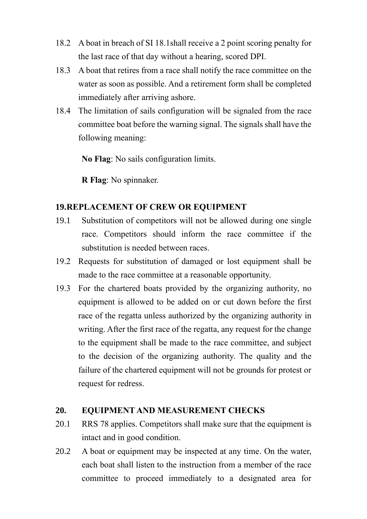- 18.2 A boat in breach of SI 18.1shall receive a 2 point scoring penalty for the last race of that day without a hearing, scored DPI.
- 18.3 A boat that retires from a race shall notify the race committee on the water as soon as possible. And a retirement form shall be completed immediately after arriving ashore.
- 18.4 The limitation of sails configuration will be signaled from the race committee boat before the warning signal. The signals shall have the following meaning:

**No Flag**: No sails configuration limits.

**R Flag**: No spinnaker.

#### **19.REPLACEMENT OF CREW OR EQUIPMENT**

- 19.1 Substitution of competitors will not be allowed during one single race. Competitors should inform the race committee if the substitution is needed between races.
- 19.2 Requests for substitution of damaged or lost equipment shall be made to the race committee at a reasonable opportunity.
- 19.3 For the chartered boats provided by the organizing authority, no equipment is allowed to be added on or cut down before the first race of the regatta unless authorized by the organizing authority in writing. After the first race of the regatta, any request for the change to the equipment shall be made to the race committee, and subject to the decision of the organizing authority. The quality and the failure of the chartered equipment will not be grounds for protest or request for redress.

#### **20. EQUIPMENT AND MEASUREMENT CHECKS**

- 20.1 RRS 78 applies. Competitors shall make sure that the equipment is intact and in good condition.
- 20.2 A boat or equipment may be inspected at any time. On the water, each boat shall listen to the instruction from a member of the race committee to proceed immediately to a designated area for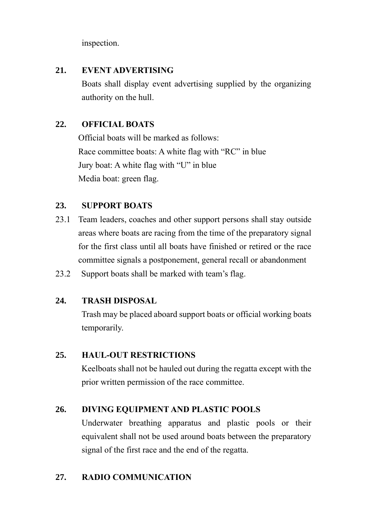inspection.

### **21. EVENT ADVERTISING**

Boats shall display event advertising supplied by the organizing authority on the hull.

# **22. OFFICIAL BOATS**

Official boats will be marked as follows: Race committee boats: A white flag with "RC" in blue Jury boat: A white flag with "U" in blue Media boat: green flag.

# **23. SUPPORT BOATS**

- 23.1 Team leaders, coaches and other support persons shall stay outside areas where boats are racing from the time of the preparatory signal for the first class until all boats have finished or retired or the race committee signals a postponement, general recall or abandonment
- 23.2 Support boats shall be marked with team's flag.

## **24. TRASH DISPOSAL**

Trash may be placed aboard support boats or official working boats temporarily.

## **25. HAUL-OUT RESTRICTIONS**

Keelboats shall not be hauled out during the regatta except with the prior written permission of the race committee.

## **26. DIVING EQUIPMENT AND PLASTIC POOLS**

Underwater breathing apparatus and plastic pools or their equivalent shall not be used around boats between the preparatory signal of the first race and the end of the regatta.

# **27. RADIO COMMUNICATION**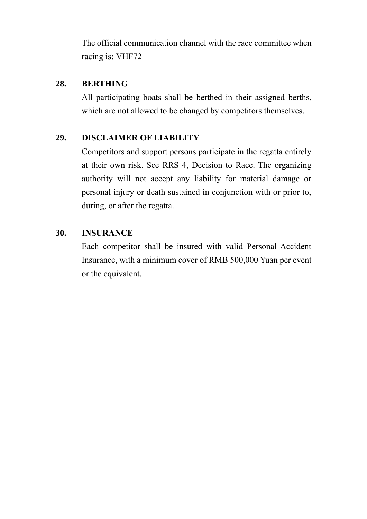The official communication channel with the race committee when racing is**:** VHF72

#### **28. BERTHING**

All participating boats shall be berthed in their assigned berths, which are not allowed to be changed by competitors themselves.

### **29. DISCLAIMER OF LIABILITY**

Competitors and support persons participate in the regatta entirely at their own risk. See RRS 4, Decision to Race. The organizing authority will not accept any liability for material damage or personal injury or death sustained in conjunction with or prior to, during, or after the regatta.

#### **30. INSURANCE**

Each competitor shall be insured with valid Personal Accident Insurance, with a minimum cover of RMB 500,000 Yuan per event or the equivalent.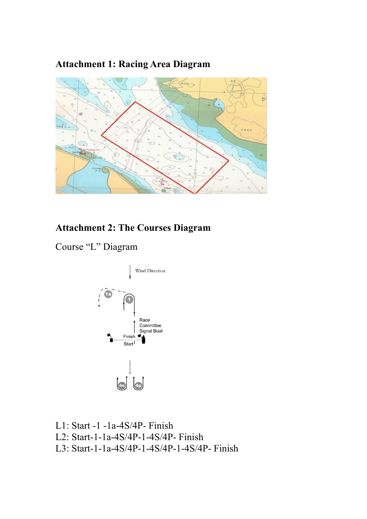# **Attachment 1: Racing Area Diagram**



# **Attachment 2: The Courses Diagram**

Course "L" Diagram



L1: Start -1 -1a-4S/4P- Finish L2: Start-1-1a-4S/4P-1-4S/4P- Finish L3: Start-1-1a-4S/4P-1-4S/4P-1-4S/4P- Finish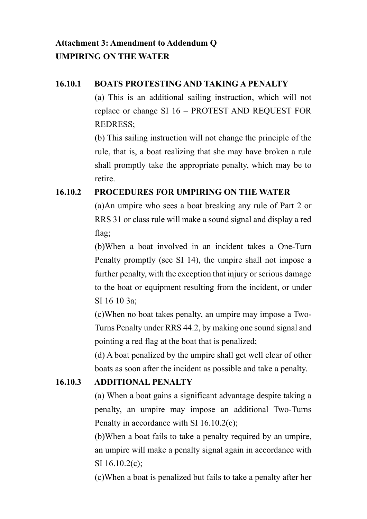# **Attachment 3: Amendment to Addendum Q UMPIRING ON THE WATER**

### **16.10.1 BOATS PROTESTING AND TAKING A PENALTY**

(a) This is an additional sailing instruction, which will not replace or change SI 16 – PROTEST AND REQUEST FOR REDRESS;

(b) This sailing instruction will not change the principle of the rule, that is, a boat realizing that she may have broken a rule shall promptly take the appropriate penalty, which may be to retire.

## **16.10.2 PROCEDURES FOR UMPIRING ON THE WATER**

(a)An umpire who sees a boat breaking any rule of Part 2 or RRS 31 or class rule will make a sound signal and display a red flag;

(b)When a boat involved in an incident takes a One-Turn Penalty promptly (see SI 14), the umpire shall not impose a further penalty, with the exception that injury or serious damage to the boat or equipment resulting from the incident, or under SI 16 10 3a;

(c)When no boat takes penalty, an umpire may impose a Two-Turns Penalty under RRS 44.2, by making one sound signal and pointing a red flag at the boat that is penalized;

(d) A boat penalized by the umpire shall get well clear of other boats as soon after the incident as possible and take a penalty.

### **16.10.3 ADDITIONAL PENALTY**

(a) When a boat gains a significant advantage despite taking a penalty, an umpire may impose an additional Two-Turns Penalty in accordance with SI 16.10.2(c);

(b)When a boat fails to take a penalty required by an umpire, an umpire will make a penalty signal again in accordance with SI 16.10.2(c);

(c)When a boat is penalized but fails to take a penalty after her